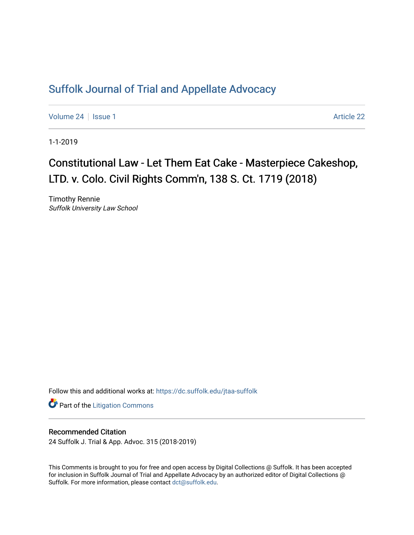## [Suffolk Journal of Trial and Appellate Advocacy](https://dc.suffolk.edu/jtaa-suffolk)

[Volume 24](https://dc.suffolk.edu/jtaa-suffolk/vol24) | [Issue 1](https://dc.suffolk.edu/jtaa-suffolk/vol24/iss1) Article 22

1-1-2019

## Constitutional Law - Let Them Eat Cake - Masterpiece Cakeshop, LTD. v. Colo. Civil Rights Comm'n, 138 S. Ct. 1719 (2018)

Timothy Rennie Suffolk University Law School

Follow this and additional works at: [https://dc.suffolk.edu/jtaa-suffolk](https://dc.suffolk.edu/jtaa-suffolk?utm_source=dc.suffolk.edu%2Fjtaa-suffolk%2Fvol24%2Fiss1%2F22&utm_medium=PDF&utm_campaign=PDFCoverPages) 

**Part of the [Litigation Commons](https://network.bepress.com/hgg/discipline/910?utm_source=dc.suffolk.edu%2Fjtaa-suffolk%2Fvol24%2Fiss1%2F22&utm_medium=PDF&utm_campaign=PDFCoverPages)** 

## Recommended Citation

24 Suffolk J. Trial & App. Advoc. 315 (2018-2019)

This Comments is brought to you for free and open access by Digital Collections @ Suffolk. It has been accepted for inclusion in Suffolk Journal of Trial and Appellate Advocacy by an authorized editor of Digital Collections @ Suffolk. For more information, please contact [dct@suffolk.edu.](mailto:dct@suffolk.edu)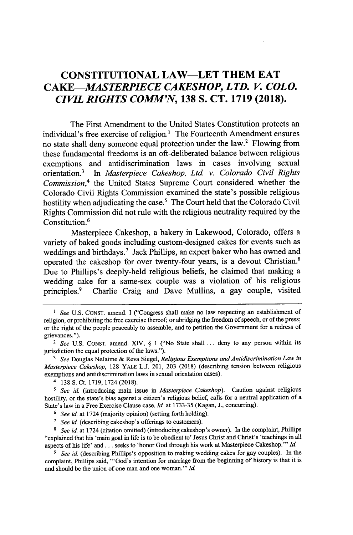## **CONSTITUTIONAL LAW-LET THEM EAT** *CAKE-MASTERPIECE CAKESHOP, LTD. V. COLO. CIVIL RIGHTS COMM'N,* **138 S. CT. 1719 (2018).**

The First Amendment to the United States Constitution protects an individual's free exercise of religion.' The Fourteenth Amendment ensures no state shall deny someone equal protection under the law.<sup>2</sup> Flowing from these fundamental freedoms is an oft-deliberated balance between religious exemptions and antidiscrimination laws in cases involving sexual orientation.<sup>3</sup>In *Masterpiece Cakeshop, Ltd. v. Colorado Civil Rights Commission,'* the United States Supreme Court considered whether the Colorado Civil Rights Commission examined the state's possible religious hostility when adjudicating the case.<sup>5</sup> The Court held that the Colorado Civil Rights Commission did not rule with the religious neutrality required **by** the Constitution.<sup>6</sup>

Masterpiece Cakeshop, a bakery in Lakewood, Colorado, offers a variety of baked goods including custom-designed cakes for events such as weddings and birthdays.' Jack Phillips, an expert baker who has owned and operated the cakeshop for over twenty-four years, is a devout Christian.' Due to Phillips's deeply-held religious beliefs, he claimed that making a wedding cake for a same-sex couple was a violation of his religious principles.<sup>9</sup> Charlie Craig and Dave Mullins, a gay couple, visited

<sup>&</sup>lt;sup>1</sup> *See* U.S. CONST. amend. I ("Congress shall make no law respecting an establishment of religion, or prohibiting the free exercise thereof; or abridging the freedom of speech, or of the press; or the right of the people peaceably to assemble, and to petition the Government for a redress of grievances.").

<sup>2</sup>*See* **U.S. CONST.** amend. XIV, **§** 1 ("No State shall **...** deny to any person within its jurisdiction the equal protection of the laws.").

*See* Douglas NeJaime *&* Reva Siegel, *Religious Exemptions and Antidiscrimination Law in Masterpiece Cakeshop,* **128** YALE **L.J.** 201, **203 (2018)** (describing tension between religious exemptions and antidiscrimination laws in sexual orientation cases).

<sup>4</sup>**138 S.** Ct. **1719,** 1724 **(2018).**

<sup>5</sup>*See id* (introducing main issue in *Masterpiece Cakeshop).* Caution against religious hostility, or the state's bias against a citizen's religious belief, calls for a neutral application of a State's law in a Free Exercise Clause case. *Id.* at **1733-35** (Kagan, *J.,* concurring).

**<sup>6</sup>** *See id.* at 1724 (majority opinion) (setting forth holding).

<sup>&</sup>lt;sup>7</sup> See id. (describing cakeshop's offerings to customers).

*<sup>8</sup>See id.* at 1724 (citation omitted) (introducing cakeshop's owner). In the complaint, Phillips "explained that his 'main goal in life is to be obedient to' Jesus Christ and Christ's 'teachings in all aspects of his life' and **...** seeks to 'honor God through his work at Masterpiece Cakeshop."' *Id.*

<sup>&</sup>lt;sup>9</sup> See id. (describing Phillips's opposition to making wedding cakes for gay couples). In the complaint, Phillips said, "'God's intention for marriage from the beginning of history is that it is and should be the union of one man and one woman."' *Id.*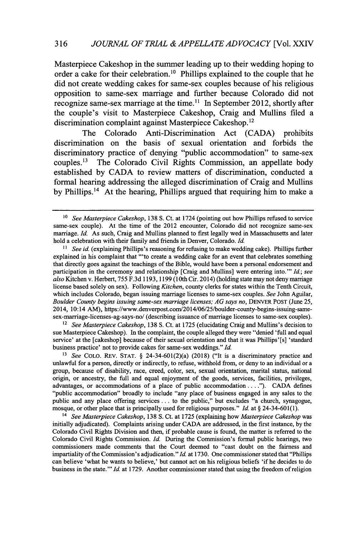Masterpiece Cakeshop in the summer leading up to their wedding hoping to order a cake for their celebration.<sup>10</sup> Phillips explained to the couple that he did not create wedding cakes for same-sex couples because of his religious opposition to same-sex marriage and further because Colorado did not recognize same-sex marriage at the time.<sup>11</sup> In September 2012, shortly after the couple's visit to Masterpiece Cakeshop, Craig and Mullins filed a discrimination complaint against Masterpiece Cakeshop.<sup>12</sup>

The Colorado Anti-Discrimination Act **(CADA)** prohibits discrimination on the basis of sexual orientation and forbids the discriminatory practice of denying "public accommodation" to same-sex couples." The Colorado Civil Rights Commission, an appellate body established **by CADA** to review matters of discrimination, conducted a formal hearing addressing the alleged discrimination of Craig and Mullins by Phillips.<sup>14</sup> At the hearing, Phillips argued that requiring him to make a

*12 See Masterpiece Cakeshop,* **138 S.** Ct. at **1725** (elucidating Craig and Mullins's decision to sue Masterpiece Cakeshop). In the complaint, the couple alleged they were "denied 'full and equal service' at the [cakeshop] because of their sexual orientation and that it was Phillips'[s] 'standard business practice' not to provide cakes for same-sex weddings." *Id.*

*<sup>13</sup>See* COLO. REV. **STAT.** *§* 24-34-601(2)(a) **(2018)** ("It is a discriminatory practice and unlawful for a person, directly or indirectly, to refuse, withhold from, or deny to an individual or a group, because of disability, race, creed, color, sex, sexual orientation, marital status, national origin, or ancestry, the full and equal enjoyment of the goods, services, facilities, privileges, advantages, or accommodations of a place of public accommodation. **.** *.. ").* **CADA** defines "public accommodation" broadly to include "any place of business engaged in any sales to the public and any place offering services **...** to the public," but excludes "a church, synagogue, mosque, or other place that is principally used for religious purposes." *Id.* at *§* 24-34-601(1).

*14 See Masterpiece Cakeshop,* **138 S.** Ct. at **1725** (explaining how *Masterpiece Cakeshop was* initially adjudicated). Complaints arising under **CADA** are addressed, in the first instance, **by** the Colorado Civil Rights Division and then, if probable cause is found, the matter is referred to the Colorado Civil Rights Commission. *Id.* During the Commission's formal public hearings, two commissioners made comments that the Court deemed to "cast doubt on the fairness and impartiality of the Commission's adjudication." *Id.* at **1730.** One commissioner stated that "Phillips can believe 'what he wants to believe,' but cannot act on his religious beliefs 'if he decides to do business in the state."' *Id* at **1729.** Another commissioner stated that using the freedom of religion

<sup>&</sup>lt;sup>10</sup> See Masterpiece Cakeshop, 138 S. Ct. at 1724 (pointing out how Phillips refused to service same-sex couple). At the time of the 2012 encounter, Colorado did not recognize same-sex marriage. *Id.* As such, Craig and Mullins planned to first legally wed in Massachusetts and later hold a celebration with their family and friends in Denver, Colorado. *Id.*

<sup>&</sup>lt;sup>11</sup> See id. (explaining Phillips's reasoning for refusing to make wedding cake). Phillips further explained in his complaint that "'to create a wedding cake for an event that celebrates something that directly goes against the teachings of the Bible, would have been a personal endorsement and participation in the ceremony and relationship [Craig and Mullins] were entering into."' *Id; see also* Kitchen v. Herbert, **755 F.3d 1193, 1199** (10th Cir. 2014) (holding state may not deny marriage license based solely on sex). Following *Kitchen,* county clerks for states within the Tenth Circuit, which includes Colorado, began issuing marriage licenses to same-sex couples. *See* John Aguilar, *Boulder County begins issuing same-sex marriage licenses; AG says no,* DENVER **POST** (June **25,** 2014, 10:14 AM), https://www.denverpost.com/2014/06/25/boulder-county-begins-issuing-samesex-marriage-licenses-ag-says-no/ (describing issuance of marriage licenses to same-sex couples).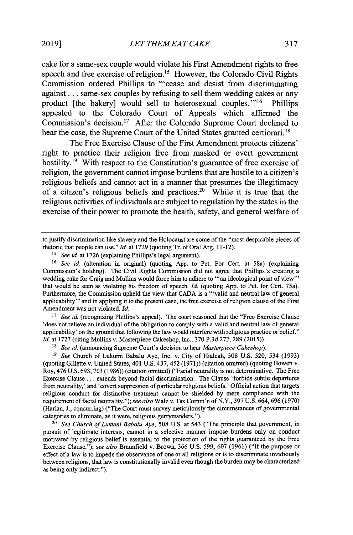cake for a same-sex couple would violate his First Amendment rights to free speech and free exercise of religion.<sup>15</sup> However, the Colorado Civil Rights Commission ordered Phillips to "'cease and desist from discriminating against **...** same-sex couples **by** refusing to sell them wedding cakes or any product [the bakery] would sell to heterosexual couples."<sup>16</sup> Phillips appealed to the Colorado Court of Appeals which affirmed the Commission's decision." After the Colorado Supreme Court declined to hear the case, the Supreme Court of the United States granted certiorari.<sup>18</sup>

The Free Exercise Clause of the First Amendment protects citizens' right to practice their religion free from masked or overt government hostility.<sup>19</sup> With respect to the Constitution's guarantee of free exercise of religion, the government cannot impose burdens that are hostile to a citizen's religious beliefs and cannot act in a manner that presumes the illegitimacy of a citizen's religious beliefs and practices.<sup>20</sup> While it is true that the religious activities of individuals are subject to regulation **by** the states in the exercise of their power to promote the health, safety, and general welfare of

*<sup>15</sup>See id.* at **1726** (explaining Phillips's legal argument).

<sup>17</sup> See id. (recognizing Phillips's appeal). The court reasoned that the "Free Exercise Clause 'does not relieve an individual of the obligation to comply with a valid and neutral law of general applicability' on the ground that following the law would interfere with religious practice or belief." *Id.* at **1727** (citing Mullins v. Masterpiece Cakeshop, Inc., **370 P.3d 272, 289** *(2015)).*

*<sup>8</sup>See id* (announcing Supreme Court's decision to hear *Masterpiece Cakeshop).*

*<sup>19</sup>See* Church of Lukumi Babalu Aye, Inc. v. City of Hialeah, *508* **U.S. 520,** 534 **(1993)** (quoting Gillette v. United States, 401 **U.S.** 437, *452* **(1971))** (citation omitted) (quoting Bowen v. Roy, 476 **U.S. 693, 703 (1986))** (citation omitted) ("Facial neutrality is not determinative. The Free Exercise Clause **...** extends beyond facial discrimination. The Clause 'forbids subtle departures from neutrality,' and 'covert suppression of particular religious beliefs.' Official action that targets religious conduct for distinctive treatment cannot be shielded **by** mere compliance with the requirement of facial neutrality."); *see also* Walz v. Tax Comm'n of N.Y., **397 U.S. 664,696 (1970)** (Harlan, **J.,** concurring) ("The Court must survey meticulously the circumstances of governmental categories to eliminate, as it were, religious gerrymanders.").

*20 See Church of Lukumi Babalu Aye,* **508 U.S.** at 543 ("The principle that government, in pursuit of legitimate interests, cannot in a selective manner impose burdens only on conduct motivated **by** religious belief is essential to the protection of the rights guaranteed **by** the Free Exercise Clause."); *see also* Braunfield v. Brown, **366 U.S. 599, 607 (1961)** ("If the purpose or effect of a law is to impede the observance of one or all religions or is to discriminate invidiously between religions, that law is constitutionally invalid even though the burden may be characterized as being only indirect.").

to justify discrimination like slavery and the Holocaust are some of the "most despicable pieces of rhetoric that people can use." Id. at **1729** (quoting Tr. of Oral Arg. 11-12).

*<sup>16</sup>See id.* (alteration in original) (quoting **App.** to Pet. For Cert. at 58a) (explaining Commission's holding). The Civil Rights Commission did not agree that Phillips's creating a wedding cake for Craig and Mullins would force him to adhere to **"'an** ideological point of view' that would be seen as violating his freedom of speech. *Id* (quoting **App.** to Pet. for Cert. 75a). Furthermore, the Commission upheld the view that **CADA** is a "'valid and neutral law of general applicability"' and in applying it to the present case, the free exercise of religion clause of the First Amendment was not violated. *Id.*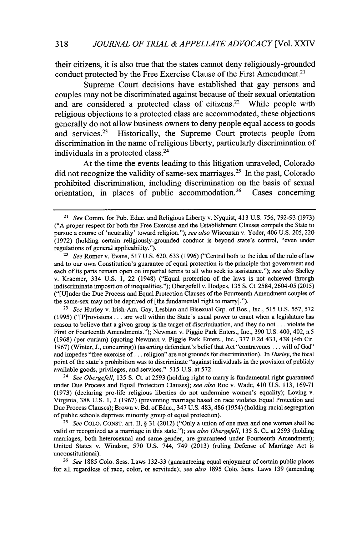their citizens, it is also true that the states cannot deny religiously-grounded conduct protected by the Free Exercise Clause of the First Amendment.<sup>21</sup>

Supreme Court decisions have established that gay persons and couples may not be discriminated against because of their sexual orientation and are considered a protected class of citizens.<sup>22</sup> While people with religious objections to a protected class are accommodated, these objections generally do not allow business owners to deny people equal access to goods and services.<sup>23</sup> Historically, the Supreme Court protects people from discrimination in the name of religious liberty, particularly discrimination of individuals in a protected class. $24$ 

At the time the events leading to this litigation unraveled, Colorado did not recognize the validity of same-sex marriages.<sup>25</sup> In the past, Colorado prohibited discrimination, including discrimination on the basis of sexual orientation, in places of public  $\alpha$  accommodation.<sup>26</sup> Cases concerning

**<sup>23</sup>***See* Hurley v. Irish-Am. Gay, Lesbian and Bisexual **Grp.** of Bos., Inc., **515 U.S. 557, 572 (1995)** ("[Pjrovisions **. . .** are well within the State's usual power to enact when a legislature has reason to believe that a given group is the target of discrimination, and they do not **...** violate the First or Fourteenth Amendments."); Newman v. Piggie Park Enters., Inc., **390 U.S.** 400, 402, n.5 **(1968)** (per curiam) (quoting Newman v. Piggie Park Enters., Inc., **377 F.2d** 433, 438 (4th Cir. **1967)** (Winter, **J.,** concurring)) (asserting defendant's belief that Act "contravenes **...** will of God" and impedes "free exercise of **...** religion" are not grounds for discrimination). In *Hurley,* the focal point of the state's prohibition was to discriminate "against individuals in the provision of publicly available goods, privileges, and services." **515 U.S.** at **572.**

*<sup>24</sup>See Obergefell,* **135 S.** Ct. at **2593** (holding right to marry is fundamental right guaranteed under Due Process and Equal Protection Clauses); *see also* Roe v. Wade, 410 **U.S. 113, 169-71 (1973)** (declaring pro-life religious liberties do not undermine women's equality); Loving v. Virginia, **388 U.S. 1,** 2 **(1967)** (preventing marriage based on race violates Equal Protection and Due Process Clauses); Brown v. Bd. of Educ., 347 **U.S.** 483,486 (1954) (holding racial segregation of public schools deprives minority group of equal protection).

*<sup>25</sup>See* **COLO. CONST.** art. II, *§* **31** (2012) ("Only a union of one man and one woman shall be valid or recognized as a marriage in this state."); *see also Obergefell,* **135 S.** Ct. at **2593** (holding marriages, both heterosexual and same-gender, are guaranteed under Fourteenth Amendment); United States v. Windsor, **570 U.S.** 744, 749 **(2013)** (ruling Defense of Marriage Act is unconstitutional).

*<sup>26</sup>See* **1885** Colo. Sess. Laws **132-33** (guaranteeing equal enjoyment of certain public places for all regardless of race, color, or servitude); *see also* **1895** Colo. Sess. Laws **139** (amending

*<sup>21</sup>See Comm.* for Pub. Educ. and Religious Liberty v. Nyquist, 413 **U.S. 756, 792-93 (1973) ("A** proper respect for both the Free Exercise and the Establishment Clauses compels the State to pursue a course of 'neutrality' toward religion."); *see also* Wisconsin v. Yoder, 406 **U.S. 205,** 220 **(1972)** (holding certain religiously-grounded conduct is beyond state's control, "even under regulations of general applicability.").

*<sup>22</sup>See* Romer v. Evans, **517 U.S. 620, 633 (1996)** ("Central both to the idea of the rule of law and to our own Constitution's guarantee of equal protection is the principle that government and each of its parts remain open on impartial terms to all who seek its assistance."); *see also* Shelley v. Kraemer, 334 **U.S. 1,** 22 (1948) ("Equal protection of the laws is not achieved through indiscriminate imposition of inequalities."); Obergefell v. Hodges, **135 S.** Ct. 2584,2604-05 **(2015)** ("[U]nder the Due Process and Equal Protection Clauses of the Fourteenth Amendment couples of the same-sex may not be deprived of [the fundamental right to marry].").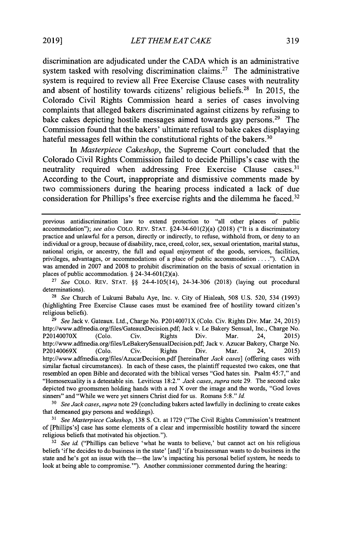*LET THEMEAT CAKE* **2019] 319**

discrimination are adjudicated under the **CADA** which is an administrative system tasked with resolving discrimination claims.<sup>27</sup> The administrative system is required to review all Free Exercise Clause cases with neutrality and absent of hostility towards citizens' religious beliefs.<sup>28</sup> In 2015, the Colorado Civil Rights Commission heard a series of cases involving complaints that alleged bakers discriminated against citizens **by** refusing to bake cakes depicting hostile messages aimed towards gay persons.<sup>29</sup> The Commission found that the bakers' ultimate refusal to bake cakes displaying hateful messages fell within the constitutional rights of the bakers. $30$ 

*In Masterpiece Cakeshop,* the Supreme Court concluded that the Colorado Civil Rights Commission failed to decide Phillips's case with the neutrality required when addressing Free Exercise Clause cases.<sup>31</sup> According to the Court, inappropriate and dismissive comments made **by** two commissioners during the hearing process indicated a lack of due consideration for Phillips's free exercise rights and the dilemma he faced.<sup>32</sup>

**<sup>27</sup>***See* COLO. REV. **STAT. §§** 24-4-105(14), 24-34-306 **(2018)** (laying out procedural determinations).

**<sup>28</sup>***See* Church of Lukumi Babalu Aye, Inc. v. City of Hialeah, **508 U.S. 520,** *534* **(1993)** (highlighting Free Exercise Clause cases must be examined free of hostility toward citizen's religious beliefs).

*<sup>29</sup>See* Jack v. Gateaux. Ltd., Charge No. P20140071X (Colo. Civ. Rights Div. Mar. 24, **2015)** http://www.adfmedia.org/files/GateauxDecision.pdf; Jack v. Le Bakery Sensual, Inc., Charge No.<br>
P20140070X (Colo. Civ. Rights Div. Mar. 24, 2015) P20140070X **(Colo.** Civ. Rights Div. Mar. 24, **2015)** http://www.adfmedia.org/files/LeBakerySensualDecision.pdf; Jack v. Azucar Bakery, Charge No.<br>
P20140069X (Colo. Civ. Rights Div. Mar. 24, 2015) P20140069X **(Colo.** Civ. Rights Div. Mar. 24, **2015)** http://www.adfmedia.org/files/AzucarDecision.pdf [hereinafter *Jack cases]* (offering cases with similar factual circumstances). In each of these cases, the plaintiff requested two cakes, one that resembled an open Bible and decorated with the biblical verses "God hates sin. Psalm 45:7," and "Homosexuality is a detestable sin. Leviticus **18:2."** *Jack cases, supra* note **29.** The second cake depicted two groomsmen holding hands with a red X over the image and the words, "God loves sinners" and "While we were yet sinners Christ died for us. Romans *5:8." Id*

*<sup>30</sup>See Jack cases, supra* note **29** (concluding bakers acted lawfully in declining to create cakes that demeaned gay persons and weddings).

*<sup>31</sup>See Masterpiece Cakeshop,* **138 S.** Ct. at **1729** ("The Civil Rights Commission's treatment of [Phillips's] case has some elements of a clear and impermissible hostility toward the sincere religious beliefs that motivated his objection.").

**<sup>32</sup>***See id* ("Phillips can believe 'what he wants to believe,' but cannot act on his religious beliefs 'if he decides to do business in the state' [and] 'if a businessman wants to do business in the state and he's got an issue with the-the law's impacting his personal belief system, he needs to look at being able to compromise."'). Another commissioner commented during the hearing:

previous antidiscrimination law to extend protection to "all other places of public accommodation"); *see also* **COLO.** REV. **STAT.** §24-34-601(2)(a) **(2018)** ("It is a discriminatory practice and unlawful for a person, directly or indirectly, to refuse, withhold from, or deny to an individual or a group, because of disability, race, creed, color, sex, sexual orientation, marital status, national origin, or ancestry, the full and equal enjoyment of the goods, services, facilities, privileges, advantages, or accommodations of a place of public accommodation **. . . ."). CADA** was amended in **2007** and **2008** to prohibit discrimination on the basis of sexual orientation in places of public accommodation. **§** 24-34-601(2)(a).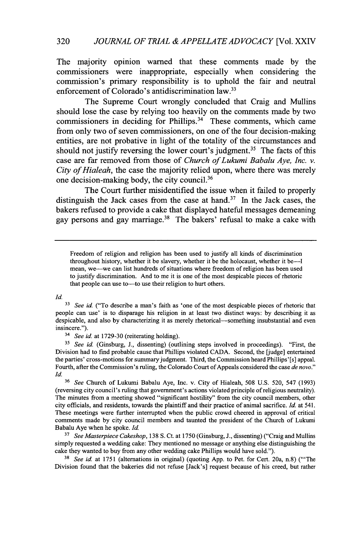The majority opinion warned that these comments made **by** the commissioners were inappropriate, especially when considering the commission's primary responsibility is to uphold the fair and neutral enforcement of Colorado's antidiscrimination law.<sup>33</sup>

The Supreme Court wrongly concluded that Craig and Mullins should lose the case **by** relying too heavily on the comments made **by** two commissioners in deciding for Phillips.<sup>34</sup> These comments, which came from only two of seven commissioners, on one of the four decision-making entities, are not probative in light of the totality of the circumstances and should not justify reversing the lower court's judgment.<sup>35</sup> The facts of this case are far removed from those of *Church of Lukumi Babalu Aye, Inc. v. City of Hialeah,* the case the majority relied upon, where there was merely one decision-making body, the city council.<sup>36</sup>

The Court further misidentified the issue when it failed to properly distinguish the Jack cases from the case at hand.<sup>37</sup> In the Jack cases, the bakers refused to provide a cake that displayed hateful messages demeaning gay persons and gay marriage.<sup>38</sup> The bakers' refusal to make a cake with

*Id.*

<sup>34</sup>*See id.* at **1729-30** (reiterating holding).

*<sup>35</sup>See id.* (Ginsburg, **J.,** dissenting) (outlining steps involved in proceedings). "First, the Division had to find probable cause that Phillips violated **CADA.** Second, the [judge] entertained the parties' cross-motions for summary judgment. Third, the Commission heard Phillips'[s] appeal. Fourth, after the Commission's ruling, the Colorado Court of Appeals considered the case *de novo." Id.*

**<sup>36</sup>***See* Church of Lukumi Babalu Aye, Inc. v. City of Hialeah, **508 U.S. 520,** 547 **(1993)** (reversing city council's ruling that government's actions violated principle of religious neutrality). The minutes from a meeting showed "significant hostility" from the city council members, other city officials, and residents, towards the plaintiff and their practice of animal sacrifice. *Id.* at *541.* These meetings were further interrupted when the public crowd cheered in approval of critical comments made **by** city council members and taunted the president of the Church of Lukumi Babalu Aye when he spoke. *Id.*

**<sup>37</sup>***See Masterpiece Cakeshop,* **138 S.** Ct. at **1750** (Ginsburg, **J.,** dissenting) ("Craig and Mullins simply requested a wedding cake: They mentioned no message or anything else distinguishing the cake they wanted to buy from any other wedding cake Phillips would have sold.").

**<sup>38</sup>***See id* at **1751** (alternations in original) (quoting **App.** to Pet. for Cert. 20a, n.8) ('The Division found that the bakeries did not refuse [Jack's] request because of his creed, but rather

Freedom of religion and religion has been used to justify all kinds of discrimination throughout history, whether it be slavery, whether it be the holocaust, whether it be--I mean, we-we can list hundreds of situations where freedom of religion has been used to justify discrimination. And to me it is one of the most despicable pieces of rhetoric that people can use to—to use their religion to hurt others.

See id. <sup>*("To describe a man's faith as 'one of the most despicable pieces of rhetoric that*</sup> people can use' is to disparage his religion in at least two distinct ways: **by** describing it as despicable, and also by characterizing it as merely rhetorical-something insubstantial and even insincere.").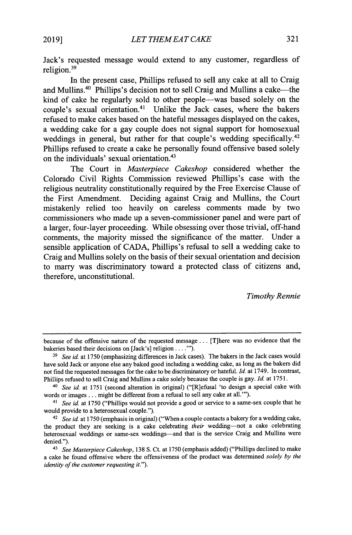Jack's requested message would extend to any customer, regardless of religion.<sup>3</sup><sup>9</sup>

In the present case, Phillips refused to sell any cake at all to Craig and Mullins.<sup>40</sup> Phillips's decision not to sell Craig and Mullins a cake—the kind of cake he regularly sold to other people-was based solely on the couple's sexual orientation.<sup>41</sup> Unlike the Jack cases, where the bakers refused to make cakes based on the hateful messages displayed on the cakes, a wedding cake for a gay couple does not signal support for homosexual weddings in general, but rather for that couple's wedding specifically.<sup>42</sup> Phillips refused to create a cake he personally found offensive based solely on the individuals' sexual orientation.<sup>43</sup>

The Court in *Masterpiece Cakeshop* considered whether the Colorado Civil Rights Commission reviewed Phillips's case with the religious neutrality constitutionally required **by** the Free Exercise Clause of the First Amendment. Deciding against Craig and Mullins, the Court mistakenly relied too heavily on careless comments made **by** two commissioners who made up a seven-commissioner panel and were part of a larger, four-layer proceeding. While obsessing over those trivial, off-hand comments, the majority missed the significance of the matter. Under a sensible application of **CADA,** Phillips's refusal to sell a wedding cake to Craig and Mullins solely on the basis of their sexual orientation and decision to marry was discriminatory toward a protected class of citizens and, therefore, unconstitutional.

*Timothy Rennie*

because of the offensive nature of the requested message **...** [T]here was no evidence that the bakeries based their decisions on [Jack's] religion. **. . .').**

*<sup>3</sup>See id* at **1750** (emphasizing differences in Jack cases). The bakers in the Jack cases would have sold Jack or anyone else any baked good including a wedding cake, as long as the bakers did not find the requested messages for the cake to be discriminatory or hateful. *Id.* at 1749. In contrast, Phillips refused to sell Craig and Mullins a cake solely because the couple is gay. *Id.* at **1751.**

<sup>&</sup>lt;sup>40</sup> See id. at 1751 (second alteration in original) ("[R]efusal 'to design a special cake with words or images **...** might be different from a refusal to sell any cake at **all."').**

*<sup>41</sup> See id.* at **1750** ("Phillips would not provide a good or service to a same-sex couple that he would provide to a heterosexual couple.").

<sup>42</sup>*See id* at **1750** (emphasis in original) ("When a couple contacts a bakery for a wedding cake, the product they are seeking is a cake celebrating *their* wedding-not a cake celebrating heterosexual weddings or same-sex weddings-and that is the service Craig and Mullins were denied.").

*<sup>43</sup> See Masterpiece Cakeshop, 138* **S.** Ct. at **1750** (emphasis added) ("Phillips declined to make a cake he found offensive where the offensiveness of the product was determined *solely by the identity of the customer requesting it.").*